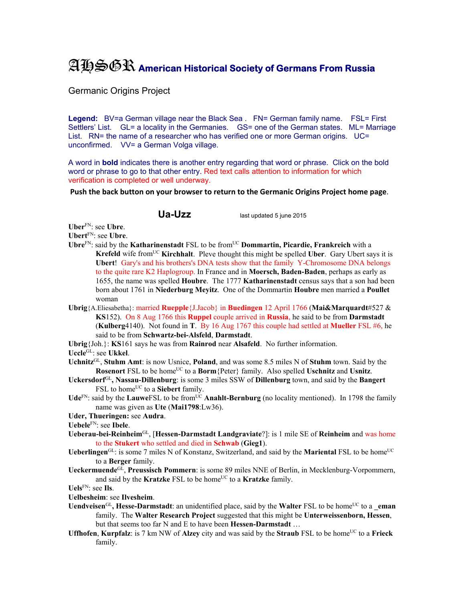## AHSGR **American Historical Society of Germans From Russia**

Germanic Origins Project

Legend: BV=a German village near the Black Sea . FN= German family name. FSL= First Settlers' List. GL= a locality in the Germanies. GS= one of the German states. ML= Marriage List. RN= the name of a researcher who has verified one or more German origins. UC= unconfirmed. VV= a German Volga village.

A word in **bold** indicates there is another entry regarding that word or phrase. Click on the bold word or phrase to go to that other entry. Red text calls attention to information for which verification is completed or well underway.

**Push the back button on your browser to return to the Germanic Origins Project home page**.

**Ua-Uzz** last updated 5 june 2015

**Uber**FN: see **Ubre**.

- **Ubert**FN: see **Ubre**.
- **Ubre**FN: said by the **Katharinenstadt** FSL to be fromUC **Dommartin, Picardie, Frankreich** with a **Krefeld** wife from<sup>UC</sup> **Kirchhalt**. Pleve thought this might be spelled Uber. Gary Ubert says it is **Ubert**! Gary's and his brothers's DNA tests show that the family Y-Chromosome DNA belongs to the quite rare K2 Haplogroup. In France and in **Moersch, Baden-Baden**, perhaps as early as 1655, the name was spelled **Houbre**. The 1777 **Katharinenstadt** census says that a son had been born about 1761 in **Niederburg Meyitz**. One of the Dommartin **Houbre** men married a **Poullet** woman
- **Ubrig**{A.Eliesabetha}: married **Ruepple**{J.Jacob} in **Buedingen** 12 April 1766 (**Mai&Marquardt**#527 & **KS**152). On 8 Aug 1766 this **Ruppel** couple arrived in **Russia**, he said to be from **Darmstadt**  (**Kulberg**4140). Not found in **T**. By 16 Aug 1767 this couple had settled at **Mueller** FSL #6, he said to be from **Schwartz-bei-Alsfeld**, **Darmstadt**.

**Ubrig**{Joh.}: **KS**161 says he was from **Rainrod** near **Alsafeld**. No further information.

**Uccle**GL: see **Ukkel**.

- **Uchnitz**GL, **Stuhm Amt**: is now Usnice, **Poland**, and was some 8.5 miles N of **Stuhm** town. Said by the **Rosenort** FSL to be home<sup>UC</sup> to a **Borm**{Peter} family. Also spelled **Uschnitz** and **Usnitz**.
- **Uckersdorf**GL**, Nassau-Dillenburg**: is some 3 miles SSW of **Dillenburg** town, and said by the **Bangert** FSL to home<sup>UC</sup> to a **Siebert** family.
- $Ude^{FN}$ : said by the **Lauwe**FSL to be from<sup>UC</sup> **Anahlt-Bernburg** (no locality mentioned). In 1798 the family name was given as **Ute** (**Mai1798**:Lw36).
- **Uder, Thueringen:** see **Audra**.

**Uebele**FN: see **Ibele**.

- **Ueberau-bei-Reinheim**GL, [**Hessen-Darmstadt Landgraviate**?]: is 1 mile SE of **Reinheim** and was home to the **Stukert** who settled and died in **Schwab** (**Gieg1**).
- Ueberlingen<sup>GL</sup>: is some 7 miles N of Konstanz, Switzerland, and said by the Mariental FSL to be home<sup>UC</sup> to a **Berger** family.
- **Ueckermuende**GL, **Preussisch Pommern**: is some 89 miles NNE of Berlin, in Mecklenburg-Vorpommern, and said by the **Kratzke** FSL to be home<sup>UC</sup> to a **Kratzke** family.

**Uels**FN: see **Ils**.

**Uelbesheim**: see **Ilvesheim**.

- Uendveisen<sup>GL</sup>, Hesse-Darmstadt: an unidentified place, said by the Walter FSL to be home<sup>UC</sup> to a eman family. The **Walter Research Project** suggested that this might be **Unterweissenborn, Hessen**, but that seems too far N and E to have been **Hessen-Darmstadt** …
- **Uffhofen, Kurpfalz**: is 7 km NW of **Alzey** city and was said by the **Straub** FSL to be home<sup>UC</sup> to a **Frieck** family.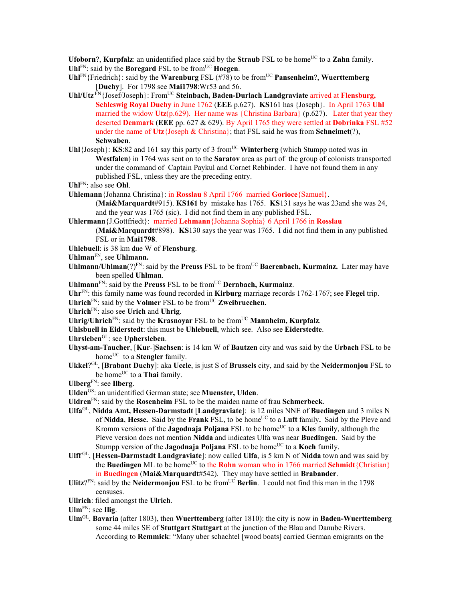**Ufoborn?, Kurpfalz:** an unidentified place said by the **Straub** FSL to be home<sup>UC</sup> to a **Zahn** family. Uhl<sup>FN</sup>: said by the **Boregard** FSL to be from<sup>UC</sup> **Hoegen**.

- **Uhl**FN{Friedrich}: said by the **Warenburg** FSL (#78) to be fromUC **Pansenheim**?, **Wuerttemberg** [**Duchy**]. For 1798 see **Mai1798**:Wr53 and 56.
- **Uhl/Utz** FN{Josef/Joseph}: FromUC **Steinbach, Baden-Durlach Landgraviate** arrived at **Flensburg, Schleswig Royal Duchy** in June 1762 (**EEE** p.627). **KS**161 has {Joseph}. In April 1763 **Uhl** married the widow **Utz**(p.629). Her name was {Christina Barbara} (p.627). Later that year they deserted **Denmark** (**EEE** pp. 627 & 629). By April 1765 they were settled at **Dobrinka** FSL #52 under the name of **Utz**{Joseph & Christina}; that FSL said he was from **Schneimet**(?), **Schwaben**.
- Uhl{Joseph}: **KS**:82 and 161 say this party of 3 from<sup>UC</sup> Winterberg (which Stumpp noted was in **Westfalen**) in 1764 was sent on to the **Saratov** area as part of the group of colonists transported under the command of Captain Paykul and Cornet Rehbinder. I have not found them in any published FSL, unless they are the preceding entry.
- **Uhl**FN: also see **Ohl**.
- **Uhlemann**{Johanna Christina}: in **Rosslau** 8 April 1766 married **Gorioce**{Samuel}.
	- (**Mai&Marquardt**#915). **KS161** by mistake has 1765. **KS**131 says he was 23and she was 24, and the year was 1765 (sic). I did not find them in any published FSL.
- **Uhlermann**{J.Gottfriedt}: married **Lehmann**{Johanna Sophia} 6 April 1766 in **Rosslau** (**Mai&Marquardt**#898). **KS**130 says the year was 1765. I did not find them in any published FSL or in **Mai1798**.
- **Uhlebuell**: is 38 km due W of **Flensburg**.
- **Uhlman**FN, see **Uhlmann.**
- **Uhlmann/Uhlman**(?)<sup>FN</sup>: said by the **Preuss** FSL to be from<sup>UC</sup> **Baerenbach, Kurmainz.** Later may have been spelled **Uhlman**.
- **Uhlmann**FN: said by the **Preuss** FSL to be fromUC **Dernbach, Kurmainz**.
- **Uhr**FN: this family name was found recorded in **Kirburg** marriage records 1762-1767; see **Flegel** trip.
- **Uhrich**<sub>FN:</sub> said by the **Volmer** FSL to be from<sup>UC</sup> **Zweibruechen.**
- **Uhrich**FN: also see **Urich** and **Uhrig**.
- **Uhrig/Uhrich**<sup>FN</sup>: said by the **Krasnovar** FSL to be from<sup>UC</sup> **Mannheim, Kurpfalz**.
- **Uhlsbuell in Eiderstedt**: this must be **Uhlebuell**, which see. Also see **Eiderstedte**.
- **Uhrsleben**GL: see **Uphersleben**.
- **Uhyst-am-Taucher**, [**Kur**-]**Sachsen**: is 14 km W of **Bautzen** city and was said by the **Urbach** FSL to be home<sup>UC</sup> to a **Stengler** family.
- **Ukkel**?GL, [**Brabant Duchy**]: aka **Uccle**, is just S of **Brussels** city, and said by the **Neidermonjou** FSL to be home<sup>UC</sup> to a **Thai** family.
- **Ulberg**FN: see **Ilberg**.
- **Ulden**GS: an unidentified German state; see **Muenster, Ulden**.
- **Uldren**FN: said by the **Rosenheim** FSL to be the maiden name of frau **Schmerbeck**.
- **Ulfa**GL, **Nidda Amt, Hessen-Darmstadt** [**Landgraviate**]: is 12 miles NNE of **Buedingen** and 3 miles N of **Nidda**, **Hesse.** Said by the **Frank** FSL, to be homeUC to a **Luft** family**.** Said by the Pleve and Kromm versions of the **Jagodnaja Poljana** FSL to be home<sup>UC</sup> to a **Kles** family, although the Pleve version does not mention **Nidda** and indicates Ulfa was near **Buedingen**. Said by the Stumpp version of the **Jagodnaja Poljana** FSL to be home<sup>UC</sup> to a **Koch** family.
- **Ulff** GL, [**Hessen-Darmstadt Landgraviate**]: now called **Ulfa**, is 5 km N of **Nidda** town and was said by the **Buedingen** ML to be home<sup>UC</sup> to the **Rohn** woman who in 1766 married **Schmidt**{Christian} in **Buedingen** (**Mai&Marquardt**#542). They may have settled in **Brabander**.
- Ulitz?<sup>FN</sup>: said by the **Neidermonjou** FSL to be from<sup>UC</sup> Berlin. I could not find this man in the 1798 censuses.
- **Ullrich**: filed amongst the **Ulrich**.
- **Ulm**FN: see **Ilig**.
- **Ulm**GL, **Bavaria** (after 1803), then **Wuerttemberg** (after 1810): the city is now in **Baden-Wuerttemberg** some 44 miles SE of **Stuttgart Stuttgart** at the junction of the Blau and Danube Rivers. According to **Remmick**: "Many uber schachtel [wood boats] carried German emigrants on the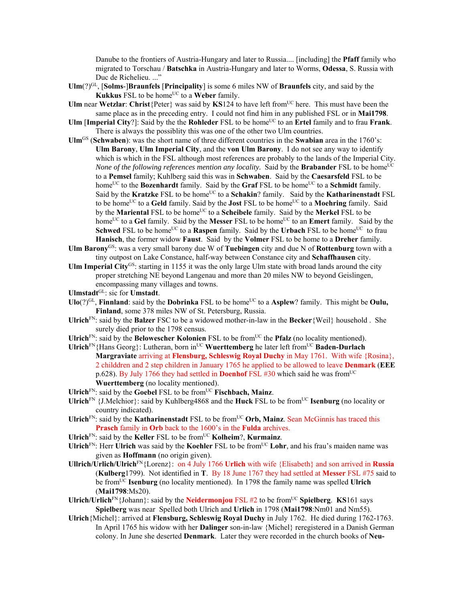Danube to the frontiers of Austria-Hungary and later to Russia.... [including] the **Pfaff** family who migrated to Torschau / **Batschka** in Austria-Hungary and later to Worms, **Odessa**, S. Russia with Duc de Richelieu. ..."

- $\text{UIm}(?)^{\text{GL}}$ , **[Solms-]Braunfels** [Principality] is some 6 miles NW of **Braunfels** city, and said by the **Kukkus** FSL to be home<sup>UC</sup> to a Weber family.
- **Ulm** near **Wetzlar**: Christ{Peter} was said by **KS**124 to have left from<sup>UC</sup> here. This must have been the same place as in the preceding entry. I could not find him in any published FSL or in **Mai1798**.
- **Ulm** [Imperial City?]: Said by the the **Rohleder** FSL to be home<sup>UC</sup> to an **Ertel** family and to frau **Frank**. There is always the possiblity this was one of the other two Ulm countries.
- **Ulm**GS (**Schwaben**): was the short name of three different countries in the **Swabian** area in the 1760's: **Ulm Barony**, **Ulm Imperial City**, and the **von Ulm Barony**. I do not see any way to identify which is which in the FSL although most references are probably to the lands of the Imperial City. *None of the following references mention any locality.* Said by the **Brabander** FSL to be home<sup>UC</sup> to a **Pemsel** family; Kuhlberg said this was in **Schwaben**. Said by the **Caesarsfeld** FSL to be home<sup>UC</sup> to the **Bozenhardt** family. Said by the **Graf** FSL to be home<sup>UC</sup> to a **Schmidt** family. Said by the **Kratzke** FSL to be home<sup>UC</sup> to a **Schakin**? family. Said by the **Katharinenstadt** FSL to be home<sup>UC</sup> to a Geld family. Said by the **Jost** FSL to be home<sup>UC</sup> to a **Moehring** family. Said by the **Mariental** FSL to be home<sup>UC</sup> to a **Scheibele** family. Said by the **Merkel** FSL to be home<sup>UC</sup> to a Gel family. Said by the Messer FSL to be home<sup>UC</sup> to an **Emert** family. Said by the **Schwed** FSL to be home<sup>UC</sup> to a **Raspen** family. Said by the **Urbach** FSL to be home<sup>UC</sup> to frau **Hanisch**, the former widow **Faust**. Said by the **Volmer** FSL to be home to a **Dreher** family.
- **Ulm Barony**GS: was a very small barony due W of **Tuebingen** city and due N of **Rottenburg** town with a tiny outpost on Lake Constance, half-way between Constance city and **Schaffhausen** city.
- **Ulm Imperial City**GS: starting in 1155 it was the only large Ulm state with broad lands around the city proper stretching NE beyond Langenau and more than 20 miles NW to beyond Geislingen, encompassing many villages and towns.
- **Ulmstadt**GL: sic for **Umstadt**.
- $U$ **lo**( $?$ )<sup>GL</sup>, **Finnland**: said by the **Dobrinka** FSL to be home<sup>UC</sup> to a **Asplew**? family. This might be **Oulu, Finland**, some 378 miles NW of St. Petersburg, Russia.
- **Ulrich**FN: said by the **Balzer** FSC to be a widowed mother-in-law in the **Becker**{Weil} household . She surely died prior to the 1798 census.
- Ulrich<sup>FN</sup>: said by the **Belowescher Kolonien** FSL to be from<sup>UC</sup> the **Pfalz** (no locality mentioned).
- **Ulrich**FN{Hans Georg}: Lutheran, born in<sup>UC</sup> Wuerttemberg he later left from<sup>UC</sup> Baden-Durlach **Margraviate** arriving at **Flensburg, Schleswig Royal Duchy** in May 1761. With wife {Rosina}, 2 childdren and 2 step children in January 1765 he applied to be allowed to leave **Denmark** (**EEE** p.628). By July 1766 they had settled in **Doenhof** FSL #30 which said he was from<sup>UC</sup> **Wuerttemberg** (no locality mentioned).
- **Ulrich**FN: said by the **Goebel** FSL to be fromUC **Fischbach, Mainz**.
- Ulrich<sup>FN</sup> {J.Melchior}: said by Kuhlberg4868 and the **Huck** FSL to be from<sup>UC</sup> **Isenburg** (no locality or country indicated).
- Ulrich<sup>FN</sup>: said by the **Katharinenstadt** FSL to be from<sup>UC</sup> Orb, Mainz. Sean McGinnis has traced this **Prasch** family in **Orb** back to the 1600's in the **Fulda** archives.
- **Ulrich**FN: said by the **Keller** FSL to be fromUC **Kolheim**?, **Kurmainz**.
- **Ulrich**FN: Herr **Ulrich** was said by the **Koehler** FSL to be from<sup>UC</sup> Lohr, and his frau's maiden name was given as **Hoffmann** (no origin given).
- **Ullrich/Urlich/Ulrich**FN{Lorenz}: on 4 July 1766 **Urlich** with wife {Elisabeth} and son arrived in **Russia** (**Kulberg**1799). Not identified in **T**. By 18 June 1767 they had settled at **Messer** FSL #75 said to be fromUC **Isenburg** (no locality mentioned). In 1798 the family name was spelled **Ulrich** (**Mai1798**:Ms20).
- Ulrich/Urlich<sup>FN</sup>{Johann}: said by the **Neidermonjou** FSL #2 to be from<sup>UC</sup> Spielberg. **KS**161 says **Spielberg** was near Spelled both Ulrich and **Urlich** in 1798 (**Mai1798**:Nm01 and Nm55).
- **Ulrich**{Michel}: arrived at **Flensburg, Schleswig Royal Duchy** in July 1762. He died during 1762-1763. In April 1765 his widow with her **Dalinger** son-in-law {Michel} reregistered in a Danish German colony. In June she deserted **Denmark**. Later they were recorded in the church books of **Neu-**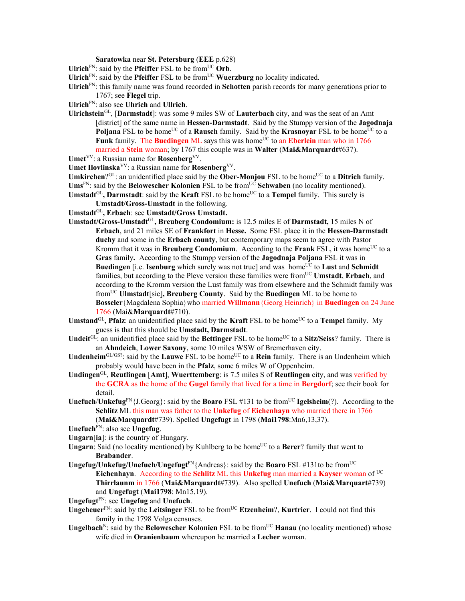**Saratowka** near **St. Petersburg** (**EEE** p.628)

- Ulrich<sup>FN</sup>: said by the **Pfeiffer** FSL to be from<sup>UC</sup> Orb.
- **Ulrich**<sup>FN</sup>: said by the **Pfeiffer** FSL to be from<sup>UC</sup> **Wuerzburg** no locality indicated.

**Ulrich**FN: this family name was found recorded in **Schotten** parish records for many generations prior to 1767; see **Flegel** trip.

- **Ulrich**FN: also see **Uhrich** and **Ullrich**.
- **Ulrichstein**GL, [**Darmstadt**]: was some 9 miles SW of **Lauterbach** city, and was the seat of an Amt [district] of the same name in **Hessen-Darmstadt**. Said by the Stumpp version of the **Jagodnaja Poljana** FSL to be home<sup>UC</sup> of a **Rausch** family. Said by the **Krasnoyar** FSL to be home<sup>UC</sup> to a **Funk** family. The **Buedingen** ML says this was home<sup>UC</sup> to an **Eberlein** man who in 1766 married a **Stein** woman; by 1767 this couple was in **Walter** (**Mai&Marquardt**#637).
- Umet<sup>VV</sup>: a Russian name for **Rosenberg**<sup>VV</sup>.
- **Umet Ilovlinska**VV: a Russian name for **Rosenberg**VV.
- **Umkirchen**?<sup>GL</sup>: an unidentified place said by the **Ober-Monjou** FSL to be home<sup>UC</sup> to a **Ditrich** family.
- Ums<sup>FN</sup>: said by the **Belowescher Kolonien** FSL to be from<sup>UC</sup> Schwaben (no locality mentioned). Umstadt<sup>GL</sup>, Darmstadt: said by the Kraft FSL to be home<sup>UC</sup> to a Tempel family. This surely is
	- **Umstadt/Gross-Umstadt** in the following.
- **Umstadt**GL**, Erbach**: see **Umstadt/Gross Umstadt.**
- **Umstadt/Gross-Umstadt**GL**, Breuberg Condomium:** is 12.5 miles E of **Darmstadt,** 15 miles N of **Erbach**, and 21 miles SE of **Frankfort** in **Hesse.** Some FSL place it in the **Hessen-Darmstadt duchy** and some in the **Erbach county**, but contemporary maps seem to agree with Pastor Kromm that it was in **Breuberg Condomium**. According to the **Frank** FSL, it was home<sup>UC</sup> to a **Gras** family**.** According to the Stumpp version of the **Jagodnaja Poljana** FSL it was in **Buedingen** [i.e. **Isenburg** which surely was not true] and was home<sup>UC</sup> to **Lust** and **Schmidt** families, but according to the Pleve version these families were from<sup>UC</sup> **Umstadt**, **Erbach**, and according to the Kromm version the Lust family was from elsewhere and the Schmidt family was fromUC **Ulmstadt**[sic]**, Breuberg County**. Said by the **Buedingen** ML to be home to **Bosseler**{Magdalena Sophia}who married **Willmann**{Georg Heinrich} in **Buedingen** on 24 June 1766 (Mai&**Marquardt**#710).
- Umstand<sup>GL</sup>, Pfalz: an unidentified place said by the Kraft FSL to be home<sup>UC</sup> to a Tempel family. My guess is that this should be **Umstadt, Darmstadt**.
- **Undeit**GL: an unidentified place said by the **Bettinger** FSL to be home<sup>UC</sup> to a **Sitz/Seiss**? family. There is an **Ahndeich**, **Lower Saxony**, some 10 miles WSW of Bremerhaven city.
- **Undenheim**<sup>GL/GS?</sup>: said by the **Lauwe** FSL to be home<sup>UC</sup> to a **Rein** family. There is an Undenheim which probably would have been in the **Pfalz**, some 6 miles W of Oppenheim.
- **Undingen**GL, **Reutlingen** [**Amt**], **Wuerttemberg**: is 7.5 miles S of **Reutlingen** city, and was verified by the **GCRA** as the home of the **Gugel** family that lived for a time in **Bergdorf**; see their book for detail.
- **Unefuch/Unkefug**FN{J.Georg}: said by the **Boaro** FSL #131 to be from<sup>UC</sup> **Igelsheim**(?). According to the **Schlitz** ML this man was father to the **Unkefug** of **Eichenhayn** who married there in 1766 (**Mai&Marquardt**#739). Spelled **Ungefugt** in 1798 (**Mai1798**:Mn6,13,37).
- **Unefuch**FN: also see **Ungefug**.
- **Ungarn**[**ia**]: is the country of Hungary.
- **Ungarn**: Said (no locality mentioned) by Kuhlberg to be home<sup>UC</sup> to a **Berer**? family that went to **Brabander**.
- **Ungefug/Unkefug/Unefuch/Ungefugt**<sup>FN</sup>{Andreas}: said by the **Boaro** FSL #131to be from<sup>UC</sup> **Eichenhayn**. According to the **Schlitz** ML this **Unkefug** man married a **Kayser** woman of UC **Thirrlaunm** in 1766 (**Mai&Marquardt**#739). Also spelled **Unefuch** (**Mai&Marquart**#739) and **Ungefugt** (**Mai1798**: Mn15,19).

**Ungefugt**FN: see **Ungefug** and **Unefuch**.

- **Ungeheuer**<sup>FN</sup>: said by the **Leitsinger** FSL to be from<sup>UC</sup> **Etzenheim**?, **Kurtrier**. I could not find this family in the 1798 Volga censuses.
- **Ungelbach**<sup>N</sup>: said by the **Belowescher Kolonien** FSL to be from<sup>UC</sup> **Hanau** (no locality mentioned) whose wife died in **Oranienbaum** whereupon he married a **Lecher** woman.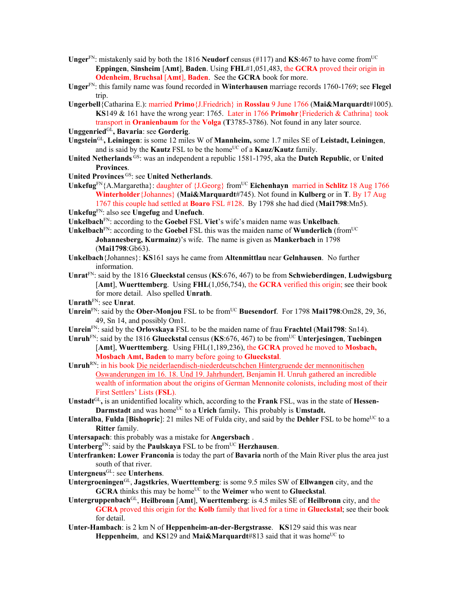- **Unger**<sup>FN</sup>: mistakenly said by both the 1816 **Neudorf** census (#117) and **KS**:467 to have come from<sup>UC</sup> **Eppingen**, **Sinsheim** [**Amt**], **Baden**. Using **FHL**#1,051,483, the **GCRA** proved their origin in **Odenheim**, **Bruchsal** [**Amt**], **Baden**. See the **GCRA** book for more.
- **Unger**FN: this family name was found recorded in **Winterhausen** marriage records 1760-1769; see **Flegel** trip.
- **Ungerbell**{Catharina E.): married **Primo**{J.Friedrich} in **Rosslau** 9 June 1766 (**Mai&Marquardt**#1005). **KS**149 & 161 have the wrong year: 1765. Later in 1766 **Primohr**{Friederich & Cathrina} took transport in **Oranienbaum** for the **Volga** (**T**3785-3786). Not found in any later source.
- **Unggenried**GL**, Bavaria**: see **Gorderig**.
- **Ungstein**GL**, Leiningen**: is some 12 miles W of **Mannheim,** some 1.7 miles SE of **Leistadt, Leiningen**, and is said by the **Kautz** FSL to be the home<sup>UC</sup> of a **Kauz/Kautz** family.
- **United Netherlands** GS: was an independent a republic 1581-1795, aka the **Dutch Republic**, or **United Provinces**.
- **United Provinces** GS: see **United Netherlands**.
- Unkefug<sup>FN</sup>{A.Margaretha}: daughter of {J.Georg} from<sup>UC</sup> **Eichenhayn** married in **Schlitz** 18 Aug 1766 **Winterholder**{Johannes} (**Mai&Marquardt**#745). Not found in **Kulberg** or in **T**. By 17 Aug 1767 this couple had settled at **Boaro** FSL #128. By 1798 she had died (**Mai1798**:Mn5).

**Unkefug**FN: also see **Ungefug** and **Unefuch**.

- **Unkelbach**FN: according to the **Goebel** FSL **Viet**'s wife's maiden name was **Unkelbach**.
- **Unkelbach**FN: according to the **Goebel** FSL this was the maiden name of **Wunderlich** (fromUC **Johannesberg, Kurmainz**)'s wife. The name is given as **Mankerbach** in 1798 (**Mai1798**:Gb63).
- **Unkelbach**{Johannes}: **KS**161 says he came from **Altenmittlau** near **Gelnhausen**. No further information.
- **Unrat**FN: said by the 1816 **Glueckstal** census (**KS**:676, 467) to be from **Schwieberdingen**, **Ludwigsburg** [**Amt**], **Wuerttemberg**. Using **FHL**(1,056,754), the **GCRA** verified this origin; see their book for more detail. Also spelled **Unrath**.
- **Unrath**FN: see **Unrat**.
- **Unrein**<sup>FN</sup>: said by the **Ober-Monjou** FSL to be from<sup>UC</sup> Buesendorf. For 1798 Mai1798:Om28, 29, 36, 49, Sn 14, and possibly Om1.
- **Unrein**FN: said by the **Orlovskaya** FSL to be the maiden name of frau **Frachtel** (**Mai1798**: Sn14).
- **Unruh**FN: said by the 1816 **Glueckstal** census (**KS**:676, 467) to be fromUC **Unterjesingen**, **Tuebingen** [**Amt**], **Wuerttemberg**. Using FHL(1,189,236), the **GCRA** proved he moved to **Mosbach, Mosbach Amt, Baden** to marry before going to **Glueckstal**.
- **Unruh**RN: in his book Die neiderlaendisch-niederdeutschchen Hintergruende der mennonitischen Oswanderungen im 16. 18. Und 19. Jahrhundert, Benjamin H. Unruh gathered an incredible wealth of information about the origins of German Mennonite colonists, including most of their First Settlers' Lists (**FSL**).
- **Unstadt**GL**,** is an unidentified locality which, according to the **Frank** FSL, was in the state of **Hessen-Darmstadt** and was home<sup>UC</sup> to a **Urich** family. This probably is **Umstadt.**
- **Unteralba, Fulda** [**Bishopric**]: 21 miles NE of Fulda city, and said by the **Dehler** FSL to be home<sup>UC</sup> to a **Ritter** family.
- **Untersapach**: this probably was a mistake for **Angersbach** .
- **Unterberg**<sup>FN</sup>: said by the **Paulskaya** FSL to be from<sup>UC</sup> **Herzhausen**.
- **Unterfranken: Lower Franconia** is today the part of **Bavaria** north of the Main River plus the area just south of that river.
- **Untergneus**GL: see **Unterhens**.
- **Untergroeningen**GL, **Jagstkries**, **Wuerttemberg**: is some 9.5 miles SW of **Ellwangen** city, and the **GCRA** thinks this may be home<sup>UC</sup> to the **Weimer** who went to **Glueckstal**.
- **Untergruppenbach**GL, **Heilbronn** [**Amt**], **Wuerttemberg**: is 4.5 miles SE of **Heilbronn** city, and the **GCRA** proved this origin for the **Kolb** family that lived for a time in **Glueckstal**; see their book for detail.
- **Unter-Hambach**: is 2 km N of **Heppenheim-an-der-Bergstrasse**. **KS**129 said this was near **Heppenheim**, and **KS**129 and **Mai&Marquardt**#813 said that it was home<sup>UC</sup> to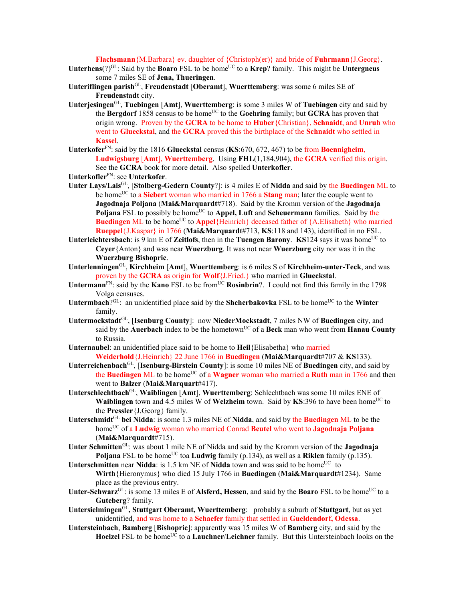## **Flachsmann**{M.Barbara} ev. daughter of {Christoph(er)} and bride of **Fuhrmann**{J.Georg}.

- Unterhens(?)<sup>GL</sup>: Said by the **Boaro** FSL to be home<sup>UC</sup> to a **Krep**? family. This might be **Untergneus** some 7 miles SE of **Jena, Thueringen**.
- **Unteriflingen parish**GL, **Freudenstadt** [**Oberamt**], **Wuerttemberg**: was some 6 miles SE of **Freudenstadt** city.
- **Unterjesingen**GL, **Tuebingen** [**Amt**], **Wuerttemberg**: is some 3 miles W of **Tuebingen** city and said by the **Bergdorf** 1858 census to be home<sup>UC</sup> to the **Goehring** family; but **GCRA** has proven that origin wrong. Proven by the **GCRA** to be home to **Huber**{Christian}, **Schnaidt**, and **Unruh** who went to **Glueckstal**, and the **GCRA** proved this the birthplace of the **Schnaidt** who settled in **Kassel**.
- **Unterkofer**FN: said by the 1816 **Glueckstal** census (**KS**:670, 672, 467) to be from **Boennigheim**, **Ludwigsburg** [**Amt**], **Wuerttemberg**. Using **FHL**(1,184,904), the **GCRA** verified this origin. See the **GCRA** book for more detail.Also spelled **Unterkofler**.
- **Unterkofler**FN: see **Unterkofer**.
- **Unter Lays/Lais**GL, [**Stolberg-Gedern County**?]: is 4 miles E of **Nidda** and said by the **Buedingen** ML to be home<sup>UC</sup> to a **Siebert** woman who married in 1766 a **Stang** man; later the couple went to **Jagodnaja Poljana** (**Mai&Marquardt**#718). Said by the Kromm version of the **Jagodnaja**  Poljana FSL to possibly be home<sup>UC</sup> to Appel, Luft and Scheuermann families. Said by the **Buedingen** ML to be home<sup>UC</sup> to **Appel**{Heinrich} deceased father of {A.Elisabeth} who married **Rueppel**{J.Kaspar} in 1766 (**Mai&Marquardt**#713, **KS**:118 and 143), identified in no FSL.
- **Unterleichtersbach**: is 9 km E of **Zeitlofs**, then in the **Tuengen Barony**. **KS**124 says it was home<sup>UC</sup> to **Ceyer**{Anton} and was near **Wuerzburg**. It was not near **Wuerzburg** city nor was it in the **Wuerzburg Bishopric**.
- **Unterlenningen**GL, **Kirchheim** [**Amt**], **Wuerttemberg**: is 6 miles S of **Kirchheim-unter-Teck**, and was proven by the **GCRA** as origin for **Wolf**{J.Fried.} who married in **Glueckstal**.
- Untermann<sup>FN</sup>: said by the **Kano** FSL to be from<sup>UC</sup> **Rosinbrin**?. I could not find this family in the 1798 Volga censuses.
- **Untermbach**?GL: an unidentified place said by the **Shcherbakovka** FSL to be home<sup>UC</sup> to the **Winter** family.
- **Untermockstadt**GL, [**Isenburg County**]: now **NiederMockstadt**, 7 miles NW of **Buedingen** city, and said by the **Auerbach** index to be the hometown<sup>UC</sup> of a Beck man who went from Hanau County to Russia.
- **Unternaubel**: an unidentified place said to be home to **Heil**{Elisabetha} who married **Weiderhold**{J.Heinrich} 22 June 1766 in **Buedingen** (**Mai&Marquardt**#707 & **KS**133).
- **Unterreichenbach**GL, [**Isenburg-Birstein County**]: is some 10 miles NE of **Buedingen** city, and said by the **Buedingen** ML to be home<sup>UC</sup> of a **Wagner** woman who married a **Ruth** man in 1766 and then went to **Balzer** (**Mai&Marquart**#417).
- **Unterschlechtbach**GL, **Waiblingen** [**Amt**], **Wuerttemberg**: Schlechtbach was some 10 miles ENE of **Waiblingen** town and 4.5 miles W of **Welzheim** town. Said by **KS**:396 to have been home<sup>UC</sup> to the **Pressler**{J.Georg} family.
- **Unterschmidt**GL **bei Nidda**: is some 1.3 miles NE of **Nidda**, and said by the **Buedingen** ML to be the homeUC of a **Ludwig** woman who married Conrad **Beutel** who went to **Jagodnaja Poljana** (**Mai&Marquardt**#715).
- **Unter Schmitten**GL: was about 1 mile NE of Nidda and said by the Kromm version of the **Jagodnaja Poljana** FSL to be home<sup>UC</sup> toa **Ludwig** family (p.134), as well as a **Riklen** family (p.135).
- **Unterschmitten** near **Nidda**: is 1.5 km NE of **Nidda** town and was said to be home<sup>UC</sup> to **Wirth**{Hieronymus} who died 15 July 1766 in **Buedingen** (**Mai&Marquardt**#1234). Same place as the previous entry.
- Unter-Schwarz<sup>GL</sup>: is some 13 miles E of Alsferd, Hessen, and said by the Boaro FSL to be home<sup>UC</sup> to a **Guteberg**? family.
- **Untersielmingen**GL**, Stuttgart Oberamt, Wuerttemberg**: probably a suburb of **Stuttgart**, but as yet unidentified, and was home to a **Schaefer** family that settled in **Gueldendorf, Odessa**.
- **Untersteinbach**, **Bamberg** [**Bishopric**]: apparently was 15 miles W of **Bamberg** city, and said by the Hoelzel FSL to be home<sup>UC</sup> to a **Lauchner/Leichner** family. But this Untersteinbach looks on the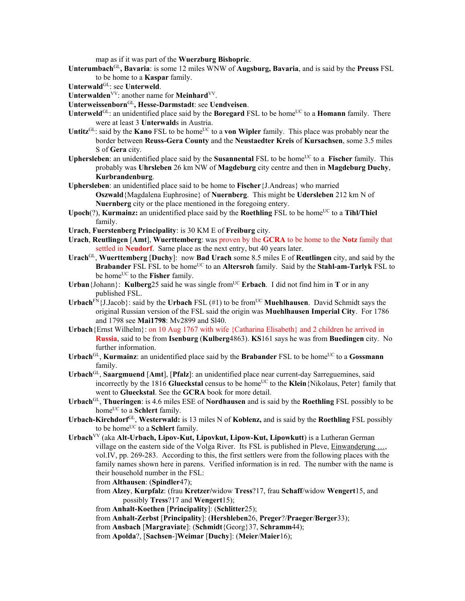map as if it was part of the **Wuerzburg Bishopric**.

- **Unterumbach**GL**, Bavaria**: is some 12 miles WNW of **Augsburg, Bavaria**, and is said by the **Preuss** FSL to be home to a **Kaspar** family.
- Unterwald<sup>GL</sup>: see Unterweld.
- Unterwalden<sup>VV</sup>: another name for **Meinhard**<sup>VV</sup>.
- **Unterweissenborn**GL**, Hesse-Darmstadt**: see **Uendveisen**.
- **Unterweld**<sup>GL</sup>: an unidentified place said by the **Boregard** FSL to be home<sup>UC</sup> to a **Homann** family. There were at least 3 **Unterwald**s in Austria.
- Untitz<sup>GL</sup>: said by the **Kano** FSL to be home<sup>UC</sup> to a **von Wipler** family. This place was probably near the border between **Reuss-Gera County** and the **Neustaedter Kreis** of **Kursachsen**, some 3.5 miles S of **Gera** city.
- **Uphersleben**: an unidentified place said by the **Susannental** FSL to be home<sup>UC</sup> to a **Fischer** family. This probably was **Uhrsleben** 26 km NW of **Magdeburg** city centre and then in **Magdeburg Duchy**, **Kurbrandenburg**.
- **Uphersleben**: an unidentified place said to be home to **Fischer**{J.Andreas} who married **Oszwald**{Magdalena Euphrosine} of **Nuernberg**. This might be **Udersleben** 212 km N of

**Nuernberg** city or the place mentioned in the foregoing entery. **Upoch**(?), **Kurmainz:** an unidentified place said by the **Roethling** FSL to be home<sup>UC</sup> to a **Tihl/Thiel** 

- family.
- **Urach**, **Fuerstenberg Principality**: is 30 KM E of **Freiburg** city.
- **Urach**, **Reutlingen** [**Amt**], **Wuerttemberg**: was proven by the **GCRA** to be home to the **Notz** family that settled in **Neudorf**. Same place as the next entry, but 40 years later.
- **Urach**GL, **Wuerttemberg** [**Duchy**]: now **Bad Urach** some 8.5 miles E of **Reutlingen** city, and said by the **Brabander** FSL FSL to be home<sup>UC</sup> to an **Altersroh** family. Said by the **Stahl-am-Tarlyk** FSL to be home<sup>UC</sup> to the **Fisher** family.
- **Urban**{Johann}: **Kulberg**25 said he was single from<sup>UC</sup> **Erbach**. I did not find him in **T** or in any published FSL.
- **Urbach**<sup>FN</sup>{J.Jacob}: said by the **Urbach** FSL (#1) to be from<sup>UC</sup> **Muehlhausen**. David Schmidt says the original Russian version of the FSL said the origin was **Muehlhausen Imperial City**. For 1786 and 1798 see **Mai1798**: Mv2899 and Sl40.
- **Urbach**{Ernst Wilhelm}: on 10 Aug 1767 with wife {Catharina Elisabeth} and 2 children he arrived in **Russia**, said to be from **Isenburg** (**Kulberg**4863). **KS**161 says he was from **Buedingen** city. No further information.
- **Urbach**<sup>GL</sup>, **Kurmainz**: an unidentified place said by the **Brabander** FSL to be home<sup>UC</sup> to a **Gossmann** family.
- **Urbach**GL, **Saargmuend** [**Amt**], [**Pfalz**]: an unidentified place near current-day Sarreguemines, said incorrectly by the 1816 **Glueckstal** census to be home<sup>UC</sup> to the **Klein**{Nikolaus, Peter} family that went to **Glueckstal**. See the **GCRA** book for more detail.
- **Urbach**GL, **Thueringen**: is 4.6 miles ESE of **Nordhausen** and is said by the **Roethling** FSL possibly to be home<sup>UC</sup> to a **Schlert** family.
- **Urbach-Kirchdorf**GL, **Westerwald:** is 13 miles N of **Koblenz,** and is said by the **Roethling** FSL possibly to be home<sup>UC</sup> to a **Schlert** family.

**Urbach**VV (aka **Alt-Urbach, Lipov-Kut, Lipovkut, Lipow-Kut, Lipowkutt**) is a Lutheran German village on the eastern side of the Volga River. Its FSL is published in Pleve, Einwanderung …, vol.IV, pp. 269-283. According to this, the first settlers were from the following places with the family names shown here in parens. Verified information is in red. The number with the name is their household number in the FSL:

from **Althausen**: (**Spindler**47);

from **Alzey**, **Kurpfalz**: (frau **Kretzer/**widow **Tress**?17, frau **Schaff**/widow **Wengert**15, and possibly **Tress**?17 and **Wengert**15);

from **Anhalt-Koethen** [**Principality**]: (**Schlitter**25);

from **Anhalt-Zerbst** [**Principality**]: (**Hershleben**26, **Preger**?/**Praeger**/**Berger**33);

```
from Ansbach [Margraviate]: (Schmidt{Georg}37, Schramm44);
```
from **Apolda**?, [**Sachsen**-]**Weimar** [**Duchy**]: (**Meier**/**Maier**16);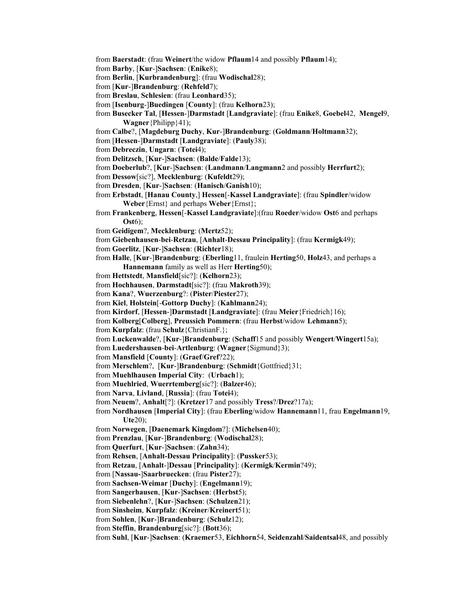from **Baerstadt**: (frau **Weinert**/the widow **Pflaum**14 and possibly **Pflaum**14);

from **Barby**, [**Kur**-]**Sachsen**: (**Enike**8);

from **Berlin**, [**Kurbrandenburg**]: (frau **Wodischal**28);

from [**Kur**-]**Brandenburg**: (**Rehfeld**7);

from **Breslau**, **Schlesien**: (frau **Leonhard**35);

from [**Isenburg**-]**Buedingen** [**County**]: (frau **Kelhorn**23);

from **Busecker Tal**, [**Hessen**-]**Darmstadt** [**Landgraviate**]: (frau **Enike**8, **Goebel**42, **Mengel**9, **Wagner**{Philipp}41);

from **Calbe**?, [**Magdeburg Duchy**, **Kur**-]**Brandenburg**: (**Goldmann**/**Holtmann**32);

from [**Hessen**-]**Darmstadt** [**Landgraviate**]: (**Pauly**38);

from **Debreczin**, **Ungarn**: (**Totei**4);

from **Delitzsch**, [**Kur**-]**Sachsen**: (**Balde**/**Falde**13);

from **Doeberlub**?, [**Kur**-]**Sachsen**: (**Landmann**/**Langmann**2 and possibly **Herrfurt**2);

from **Dessow**[sic?], **Mecklenburg**: (**Kufeldt**29);

from **Dresden**, [**Kur**-]**Sachsen**: (**Hanisch**/**Ganish**10);

from **Erbstadt**, [**Hanau County**,] **Hessen**[-**Kassel Landgraviate**]: (frau **Spindler**/widow **Weber**{Ernst} and perhaps **Weber**{Ernst};

from **Frankenberg**, **Hessen**[-**Kassel Landgraviate**]:(frau **Roeder**/widow **Ost**6 and perhaps **Ost**6);

from **Geidigem**?, **Mecklenburg**: (**Mertz**52);

from **Giebenhausen**-**bei**-**Retzau**, [**Anhalt**-**Dessau Principality**]: (frau **Kermigk**49);

from **Goerlitz**, [**Kur**-]**Sachsen**: (**Richter**18);

from **Halle**, [**Kur**-]**Brandenburg**: (**Eberling**11, fraulein **Herting**50, **Holz**43, and perhaps a **Hannemann** family as well as Herr **Herting**50);

from **Hettstedt**, **Mansfield**[sic?]: (**Kelhorn**23);

from **Hochhausen**, **Darmstadt**[sic?]: (frau **Makroth**39);

from **Kana**?, **Wuerzenburg**?: (**Pister**/**Piester**27);

from **Kiel**, **Holstein**[-**Gottorp Duchy**]: (**Kahlmann**24);

from **Kirdorf**, [**Hessen**-]**Darmstadt** [**Landgraviate**]: (frau **Meier**{Friedrich}16);

from **Kolberg**[**Colberg**], **Preussich Pommern**: (frau **Herbst**/widow **Lehmann**5);

from **Kurpfalz**: (frau **Schulz**{ChristianF.};

from **Luckenwalde**?, [**Kur**-]**Brandenburg**: (**Schaff**15 and possibly **Wengert**/**Wingert**15a);

from **Luedershausen**-**bei**-**Artlenburg**: (**Wagner**{Sigmund}3);

from **Mansfield** [**County**]: (**Graef**/**Gref**?22);

from **Merschlem**?, [**Kur**-]**Brandenburg**: (**Schmidt**{Gottfried}31;

from **Muehlhausen Imperial City**: (**Urbach**1);

from **Muehlried**, **Wuerrtemberg**[sic?]: (**Balzer**46);

from **Narva**, **Livland**, [**Russia**]: (frau **Totei**4);

from **Neuem**?, **Anhalt**[?]: (**Kretzer**17 and possibly **Tress**?/**Drez**?17a);

from **Nordhausen** [**Imperial City**]: (frau **Eberling**/widow **Hannemann**11, frau **Engelmann**19, **Ute**20);

from **Norwegen**, [**Daenemark Kingdom**?]: (**Michelsen**40);

from **Prenzlau**, [**Kur**-]**Brandenburg**: (**Wodischal**28);

from **Querfurt**, [**Kur**-]**Sachsen**: (**Zahn**34);

from **Rehsen**, [**Anhalt-Dessau Principality**]: (**Pussker**53);

from **Retzau**, [**Anhalt**-]**Dessau** [**Principality**]: (**Kermigk**/**Kermin**?49);

from [**Nassau-**]**Saarbruecken**: (frau **Pister**27);

from **Sachsen-Weimar** [**Duchy**]: (**Engelmann**19);

from **Sangerhausen**, [**Kur**-]**Sachsen**: (**Herbst**5);

from **Siebenlehn**?, [**Kur**-]**Sachsen**: (**Schulzen**21);

from **Sinsheim**, **Kurpfalz**: (**Kreiner**/**Kreinert**51);

from **Sohlen**, [**Kur**-]**Brandenburg**: (**Schulz**12);

from **Steffin**, **Brandenburg**[sic?]: (**Bott**36);

from **Suhl**, [**Kur**-]**Sachsen**: (**Kraemer**53, **Eichhorn**54, **Seidenzahl**/**Saidentsal**48, and possibly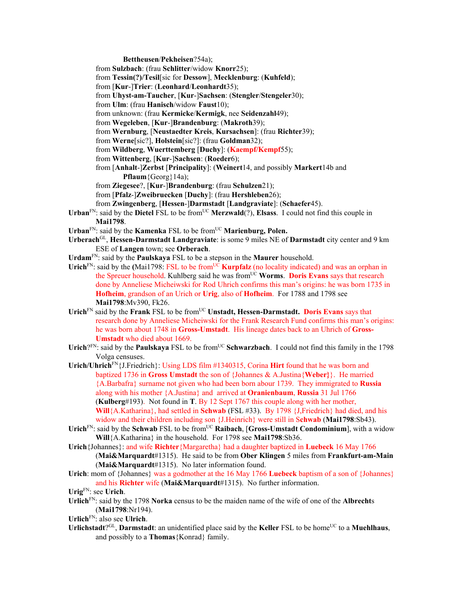**Bettheusen**/**Pekheisen**?54a);

- from **Sulzbach**: (frau **Schlitter**/widow **Knorr**25);
- from **Tessin(?)/Tesil**[sic for **Dessow**], **Mecklenburg**: (**Kuhfeld**);
- from [**Kur**-]**Trier**: (**Leonhard**/**Leonhardt**35);
- from **Uhyst-am-Taucher**, [**Kur**-]**Sachsen**: (**Stengler**/**Stengeler**30);
- from **Ulm**: (frau **Hanisch**/widow **Faust**10);
- from unknown: (frau **Kermicke**/**Kermigk**, nee **Seidenzahl**49);
- from **Wegeleben**, [**Kur**-]**Brandenburg**: (**Makroth**39);
- from **Wernburg**, [**Neustaedter Kreis**, **Kursachsen**]: (frau **Richter**39);
- from **Werne**[sic?], **Holstein**[sic?]: (frau **Goldman**32);
- from **Wildberg**, **Wuerttemberg** [**Duchy**]: (**Kaempf/Kempf**55);
- from **Wittenberg**, [**Kur**-]**Sachsen**: (**Roeder**6);
- from [**Anhalt**-]**Zerbst** [**Principality**]: (**Weinert**14, and possibly **Markert**14b and **Pflaum**{Georg}14a);
- from **Ziegesee**?, [**Kur**-]**Brandenburg**: (frau **Schulzen**21);
- from [**Pfalz**-]**Zweibruecken** [**Duchy**]: (frau **Hershleben**26);
- from **Zwingenberg**, [**Hessen**-]**Darmstadt** [**Landgraviate**]: (**Schaefer**45).
- Urban<sup>FN</sup>: said by the Dietel FSL to be from<sup>UC</sup> Merzwald(?), Elsass. I could not find this couple in **Mai1798**.
- Urban<sup>FN</sup>: said by the **Kamenka** FSL to be from<sup>UC</sup> **Marienburg, Polen.**
- **Urberach**GL, **Hessen-Darmstadt Landgraviate**: is some 9 miles NE of **Darmstadt** city center and 9 km ESE of **Langen** town; see **Orberach**.
- **Urdam**FN: said by the **Paulskaya** FSL to be a stepson in the **Maurer** household.
- Urich<sup>FN</sup>: said by the **(Mai1798: FSL** to be from<sup>UC</sup> **Kurpfalz** (no locality indicated) and was an orphan in the Spreuer household. Kuhlberg said he was fromUC **Worms**. **Doris Evans** says that research done by Anneliese Micheiwski for Rod Uhrich confirms this man's origins: he was born 1735 in **Hofheim**, grandson of an Urich or **Urig**, also of **Hofheim**. For 1788 and 1798 see **Mai1798**:Mv390, Fk26.
- Urich<sup>FN</sup> said by the **Frank** FSL to be from<sup>UC</sup> Unstadt, Hessen-Darmstadt. Doris Evans says that research done by Anneliese Micheiwski for the Frank Research Fund confirms this man's origins: he was born about 1748 in **Gross-Umstadt**. His lineage dates back to an Uhrich of **Gross-Umstadt** who died about 1669.
- Urich? $F_N$ : said by the **Paulskaya** FSL to be from<sup>UC</sup> Schwarzbach. I could not find this family in the 1798 Volga censuses.
- **Urich/Uhrich**FN{J.Friedrich}: Using LDS film #1340315, Corina **Hirt** found that he was born and baptized 1736 in **Gross Umstadt** the son of {Johannes & A.Justina{**Weber}**}. He married {A.Barbafra} surname not given who had been born abour 1739. They immigrated to **Russia**  along with his mother {A.Justina} and arrived at **Oranienbaum**, **Russia** 31 Jul 1766 (**Kulberg**#193). Not found in **T**. By 12 Sept 1767 this couple along with her mother, **Will**{A.Katharina}, had settled in **Schwab** (FSL #33). By 1798 {J,Friedrich} had died, and his widow and their children including son {J.Heinrich} were still in S**chwab** (**Mai1798**:Sb43).
- Urich<sup>FN</sup>: said by the **Schwab** FSL to be from<sup>UC</sup> Raibach, [Gross-Umstadt Condominium], with a widow **Will**{A.Katharina} in the household. For 1798 see **Mai1798**:Sb36.
- **Urich**{Johannes}: and wife **Richter**{Margaretha} had a daughter baptized in **Luebeck** 16 May 1766 (**Mai&Marquardt**#1315). He said to be from **Ober Klingen** 5 miles from **Frankfurt-am-Main** (**Mai&Marquardt**#1315). No later information found.
- **Urich**: mom of {Johannes} was a godmother at the 16 May 1766 **Luebeck** baptism of a son of {Johannes} and his **Richter** wife (**Mai&Marquardt**#1315). No further information.

- **Urlich**FN: said by the 1798 **Norka** census to be the maiden name of the wife of one of the **Albrecht**s (**Mai1798**:Nr194).
- **Urlich**FN: also see **Ulrich**.
- **Urlichstadt**?<sup>GL</sup>, **Darmstadt**: an unidentified place said by the **Keller** FSL to be home<sup>UC</sup> to a **Muehlhaus**, and possibly to a **Thomas**{Konrad} family.

**Urig**FN: see **Urich**.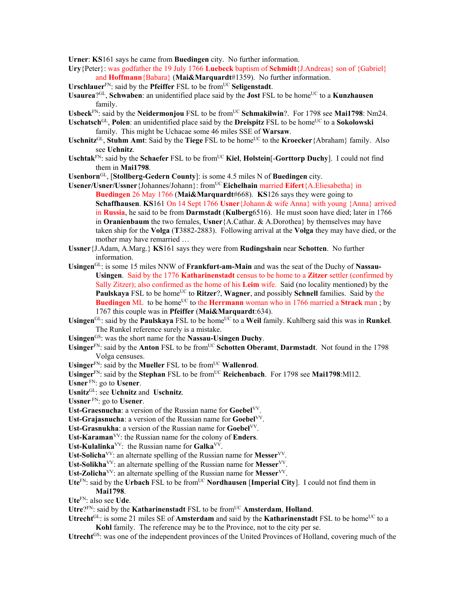**Urner**: **KS**161 says he came from **Buedingen** city. No further information.

- **Ury**{Peter}: was godfather the 19 July 1766 **Luebeck** baptism of **Schmidt**{J.Andreas} son of {Gabriel} and **Hoffmann**{Babara} (**Mai&Marquardt**#1359). No further information.
- **Urschlauer**<sup>FN</sup>: said by the **Pfeiffer** FSL to be from<sup>UC</sup> **Seligenstadt**.
- **Usaurea**?GL, **Schwaben**: an unidentified place said by the **Jost** FSL to be homeUC to a **Kunzhausen** family.
- Usbeck<sup>FN</sup>: said by the **Neidermonjou** FSL to be from<sup>UC</sup> Schmakilwin?. For 1798 see Mai1798: Nm24.
- Uschatsch<sup>GL</sup>, Polen: an unidentified place said by the **Dreispitz** FSL to be home<sup>UC</sup> to a **Sokolowski** family. This might be Uchacae some 46 miles SSE of **Warsaw**.
- Uschnitz<sup>GL</sup>, Stuhm Amt: Said by the **Tiege** FSL to be home<sup>UC</sup> to the **Kroecker**{Abraham} family. Also see **Uchnitz**.
- **Uschtak**FN: said by the **Schaefer** FSL to be fromUC **Kiel**, **Holstein**[-**Gorttorp Duchy**]. I could not find them in **Mai1798**.
- **Usenborn**GL, [**Stollberg-Gedern County**]: is some 4.5 miles N of **Buedingen** city.
- **Usener/Usner/Ussner**{Johannes/Johann}: fromUC **Eichelhain** married **Eifert**{A.Eliesabetha} in **Buedingen** 26 May 1766 (**Mai&Marquardt**#668). **KS**126 says they were going to **Schaffhausen**. **KS**161 On 14 Sept 1766 **Usner**{Johann & wife Anna} with young {Anna} arrived in **Russia**, he said to be from **Darmstadt** (**Kulberg**6516). He must soon have died; later in 1766 in **Oranienbaum** the two females, **Usner**{A.Cathar. & A.Dorothea} by themselves may have taken ship for the **Volga** (**T**3882-2883). Following arrival at the **Volga** they may have died, or the mother may have remarried …
- **Ussner**{J.Adam, A.Marg.} **KS**161 says they were from **Rudingshain** near **Schotten**. No further information.
- Usingen<sup>GL</sup>: is some 15 miles NNW of **Frankfurt-am-Main** and was the seat of the Duchy of Nassau-**Usingen**. Said by the 1776 **Katharinenstadt** census to be home to a **Zitzer** settler (confirmed by Sally Zitzer); also confirmed as the home of his **Leim** wife. Said (no locality mentioned) by the **Paulskaya** FSL to be home<sup>UC</sup> to **Ritzer**?, **Wagner**, and possibly **Schnell** families. Said by the **Buedingen** ML to be home<sup>UC</sup> to the **Herrmann** woman who in 1766 married a **Strack** man ; by 1767 this couple was in **Pfeiffer** (**Mai&Marquardt**:634).
- Usingen<sup>GL</sup>: said by the **Paulskaya** FSL to be home<sup>UC</sup> to a Weil family. Kuhlberg said this was in **Runkel**. The Runkel reference surely is a mistake.
- Usingen<sup>GS</sup>: was the short name for the **Nassau-Usingen Duchy**.
- Usinger<sup>FN</sup>: said by the **Anton** FSL to be from<sup>UC</sup> Schotten Oberamt, Darmstadt. Not found in the 1798 Volga censuses.

Usinger<sup>FN</sup>: said by the **Mueller** FSL to be from<sup>UC</sup> **Wallenrod**.

Usinger<sup>FN</sup>: said by the Stephan FSL to be from<sup>UC</sup> Reichenbach. For 1798 see Mai1798:Ml12.

**Usner** FN: go to **Usener**.

**Usnitz**GL: see **Uchnitz** and **Uschnitz**.

**Ussner** FN: go to **Usener**.

**Ust-Graesnucha**: a version of the Russian name for **Goebel**VV.

**Ust-Grajasnucha**: a version of the Russian name for **Goebel**VV.

- **Ust-Grasnukha**: a version of the Russian name for **Goebel**VV.
- **Ust-Karaman**VV: the Russian name for the colony of **Enders**.

**Ust-Kulalinka**VV: the Russian name for **Galka**VV.

**Ust-Solicha**VV: an alternate spelling of the Russian name for **Messer**VV.

**Ust-Solikha**VV: an alternate spelling of the Russian name for **Messer**VV.

- Ust-Zolicha<sup>VV</sup>: an alternate spelling of the Russian name for Messer<sup>VV</sup>.
- Ute<sup>FN</sup>: said by the Urbach FSL to be from<sup>UC</sup> **Nordhausen** [Imperial City]. I could not find them in **Mai1798**.

**Ute**FN: also see **Ude**.

- Utre?<sup>FN</sup>: said by the **Katharinenstadt** FSL to be from<sup>UC</sup> **Amsterdam**, **Holland**.
- **Utrecht** $G<sup>L</sup>$ : is some 21 miles SE of **Amsterdam** and said by the **Katharinenstadt** FSL to be home<sup>UC</sup> to a **Kohl** family. The reference may be to the Province, not to the city per se.

**Utrecht**GS: was one of the independent provinces of the United Provinces of Holland, covering much of the